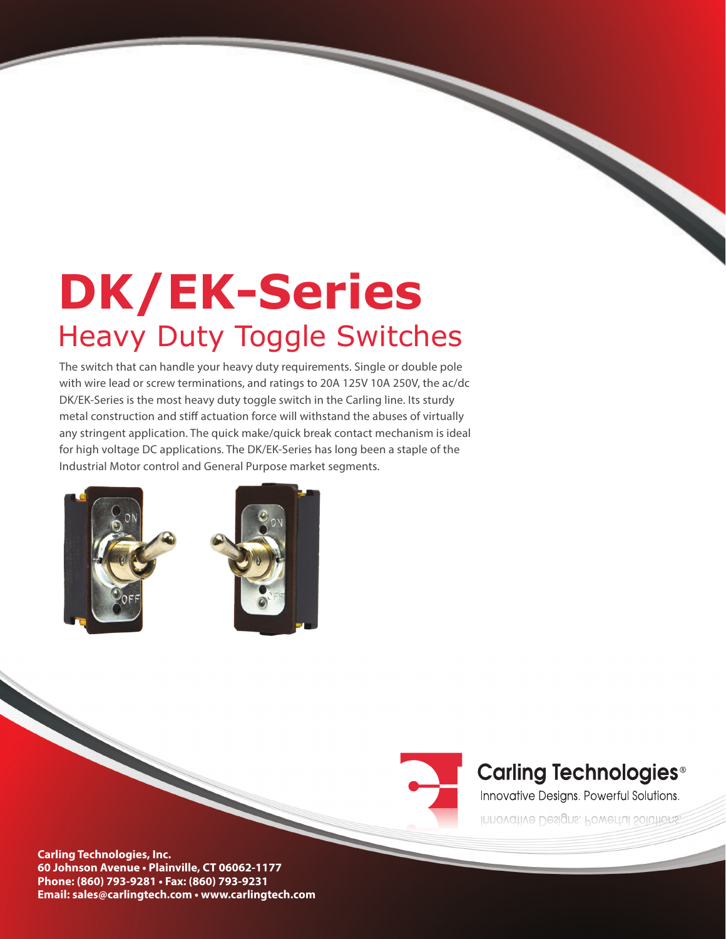# **DK/EK-Series**  Heavy Duty Toggle Switches

The switch that can handle your heavy duty requirements. Single or double pole with wire lead or screw terminations, and ratings to 20A 125V 10A 250V, the ac/dc DK/EK-Series is the most heavy duty toggle switch in the Carling line. Its sturdy metal construction and stiff actuation force will withstand the abuses of virtually any stringent application. The quick make/quick break contact mechanism is ideal for high voltage DC applications. The DK/EK-Series has long been a staple of the Industrial Motor control and General Purpose market segments.





# **Carling Technologies<sup>®</sup>**

Innovative Designs. Powerful Solutions.

Innovative Designs, Powerful Solutions,

**Carling Technologies, Inc. 60 Johnson Avenue • Plainville, CT 06062-1177 Phone: (860) 793-9281 • Fax: (860) 793-9231 Email: sales@carlingtech.com • www.carlingtech.com**